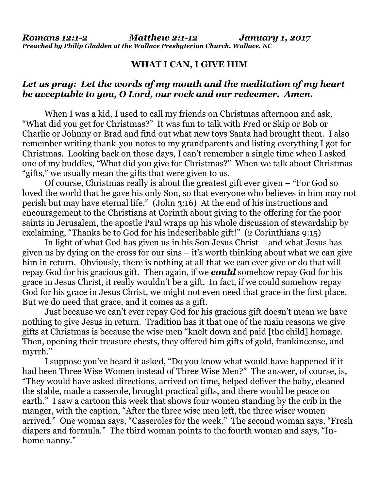## **WHAT I CAN, I GIVE HIM**

## *Let us pray: Let the words of my mouth and the meditation of my heart be acceptable to you, O Lord, our rock and our redeemer. Amen.*

When I was a kid, I used to call my friends on Christmas afternoon and ask, "What did you get for Christmas?" It was fun to talk with Fred or Skip or Bob or Charlie or Johnny or Brad and find out what new toys Santa had brought them. I also remember writing thank-you notes to my grandparents and listing everything I got for Christmas. Looking back on those days, I can't remember a single time when I asked one of my buddies, "What did you give for Christmas?" When we talk about Christmas "gifts," we usually mean the gifts that were given to us.

 Of course, Christmas really is about the greatest gift ever given – "For God so loved the world that he gave his only Son, so that everyone who believes in him may not perish but may have eternal life." (John 3:16) At the end of his instructions and encouragement to the Christians at Corinth about giving to the offering for the poor saints in Jerusalem, the apostle Paul wraps up his whole discussion of stewardship by exclaiming, "Thanks be to God for his indescribable gift!" (2 Corinthians 9:15)

 In light of what God has given us in his Son Jesus Christ – and what Jesus has given us by dying on the cross for our sins – it's worth thinking about what we can give him in return. Obviously, there is nothing at all that we can ever give or do that will repay God for his gracious gift. Then again, if we *could* somehow repay God for his grace in Jesus Christ, it really wouldn't be a gift. In fact, if we could somehow repay God for his grace in Jesus Christ, we might not even need that grace in the first place. But we do need that grace, and it comes as a gift.

 Just because we can't ever repay God for his gracious gift doesn't mean we have nothing to give Jesus in return. Tradition has it that one of the main reasons we give gifts at Christmas is because the wise men "knelt down and paid [the child] homage. Then, opening their treasure chests, they offered him gifts of gold, frankincense, and myrrh."

 I suppose you've heard it asked, "Do you know what would have happened if it had been Three Wise Women instead of Three Wise Men?" The answer, of course, is, "They would have asked directions, arrived on time, helped deliver the baby, cleaned the stable, made a casserole, brought practical gifts, and there would be peace on earth." I saw a cartoon this week that shows four women standing by the crib in the manger, with the caption, "After the three wise men left, the three wiser women arrived." One woman says, "Casseroles for the week." The second woman says, "Fresh diapers and formula." The third woman points to the fourth woman and says, "Inhome nanny."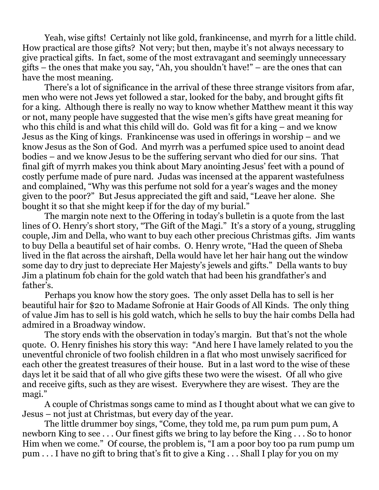Yeah, wise gifts! Certainly not like gold, frankincense, and myrrh for a little child. How practical are those gifts? Not very; but then, maybe it's not always necessary to give practical gifts. In fact, some of the most extravagant and seemingly unnecessary gifts – the ones that make you say, "Ah, you shouldn't have!" – are the ones that can have the most meaning.

 There's a lot of significance in the arrival of these three strange visitors from afar, men who were not Jews yet followed a star, looked for the baby, and brought gifts fit for a king. Although there is really no way to know whether Matthew meant it this way or not, many people have suggested that the wise men's gifts have great meaning for who this child is and what this child will do. Gold was fit for a king – and we know Jesus as the King of kings. Frankincense was used in offerings in worship – and we know Jesus as the Son of God. And myrrh was a perfumed spice used to anoint dead bodies – and we know Jesus to be the suffering servant who died for our sins. That final gift of myrrh makes you think about Mary anointing Jesus' feet with a pound of costly perfume made of pure nard. Judas was incensed at the apparent wastefulness and complained, "Why was this perfume not sold for a year's wages and the money given to the poor?" But Jesus appreciated the gift and said, "Leave her alone. She bought it so that she might keep if for the day of my burial."

 The margin note next to the Offering in today's bulletin is a quote from the last lines of O. Henry's short story, "The Gift of the Magi." It's a story of a young, struggling couple, Jim and Della, who want to buy each other precious Christmas gifts. Jim wants to buy Della a beautiful set of hair combs. O. Henry wrote, "Had the queen of Sheba lived in the flat across the airshaft, Della would have let her hair hang out the window some day to dry just to depreciate Her Majesty's jewels and gifts." Della wants to buy Jim a platinum fob chain for the gold watch that had been his grandfather's and father's.

 Perhaps you know how the story goes. The only asset Della has to sell is her beautiful hair for \$20 to Madame Sofronie at Hair Goods of All Kinds. The only thing of value Jim has to sell is his gold watch, which he sells to buy the hair combs Della had admired in a Broadway window.

 The story ends with the observation in today's margin. But that's not the whole quote. O. Henry finishes his story this way: "And here I have lamely related to you the uneventful chronicle of two foolish children in a flat who most unwisely sacrificed for each other the greatest treasures of their house. But in a last word to the wise of these days let it be said that of all who give gifts these two were the wisest. Of all who give and receive gifts, such as they are wisest. Everywhere they are wisest. They are the magi."

 A couple of Christmas songs came to mind as I thought about what we can give to Jesus – not just at Christmas, but every day of the year.

 The little drummer boy sings, "Come, they told me, pa rum pum pum pum, A newborn King to see . . . Our finest gifts we bring to lay before the King . . . So to honor Him when we come." Of course, the problem is, "I am a poor boy too pa rum pump um pum . . . I have no gift to bring that's fit to give a King . . . Shall I play for you on my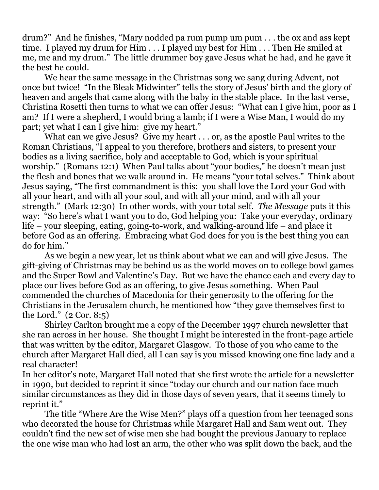drum?" And he finishes, "Mary nodded pa rum pump um pum . . . the ox and ass kept time. I played my drum for Him . . . I played my best for Him . . . Then He smiled at me, me and my drum." The little drummer boy gave Jesus what he had, and he gave it the best he could.

 We hear the same message in the Christmas song we sang during Advent, not once but twice! "In the Bleak Midwinter" tells the story of Jesus' birth and the glory of heaven and angels that came along with the baby in the stable place. In the last verse, Christina Rosetti then turns to what we can offer Jesus: "What can I give him, poor as I am? If I were a shepherd, I would bring a lamb; if I were a Wise Man, I would do my part; yet what I can I give him: give my heart."

What can we give Jesus? Give my heart . . . or, as the apostle Paul writes to the Roman Christians, "I appeal to you therefore, brothers and sisters, to present your bodies as a living sacrifice, holy and acceptable to God, which is your spiritual worship." (Romans 12:1) When Paul talks about "your bodies," he doesn't mean just the flesh and bones that we walk around in. He means "your total selves." Think about Jesus saying, "The first commandment is this: you shall love the Lord your God with all your heart, and with all your soul, and with all your mind, and with all your strength." (Mark 12:30) In other words, with your total self. *The Message* puts it this way: "So here's what I want you to do, God helping you: Take your everyday, ordinary life – your sleeping, eating, going-to-work, and walking-around life – and place it before God as an offering. Embracing what God does for you is the best thing you can do for him."

 As we begin a new year, let us think about what we can and will give Jesus. The gift-giving of Christmas may be behind us as the world moves on to college bowl games and the Super Bowl and Valentine's Day. But we have the chance each and every day to place our lives before God as an offering, to give Jesus something. When Paul commended the churches of Macedonia for their generosity to the offering for the Christians in the Jerusalem church, he mentioned how "they gave themselves first to the Lord." (2 Cor. 8:5)

 Shirley Carlton brought me a copy of the December 1997 church newsletter that she ran across in her house. She thought I might be interested in the front-page article that was written by the editor, Margaret Glasgow. To those of you who came to the church after Margaret Hall died, all I can say is you missed knowing one fine lady and a real character!

In her editor's note, Margaret Hall noted that she first wrote the article for a newsletter in 1990, but decided to reprint it since "today our church and our nation face much similar circumstances as they did in those days of seven years, that it seems timely to reprint it."

 The title "Where Are the Wise Men?" plays off a question from her teenaged sons who decorated the house for Christmas while Margaret Hall and Sam went out. They couldn't find the new set of wise men she had bought the previous January to replace the one wise man who had lost an arm, the other who was split down the back, and the